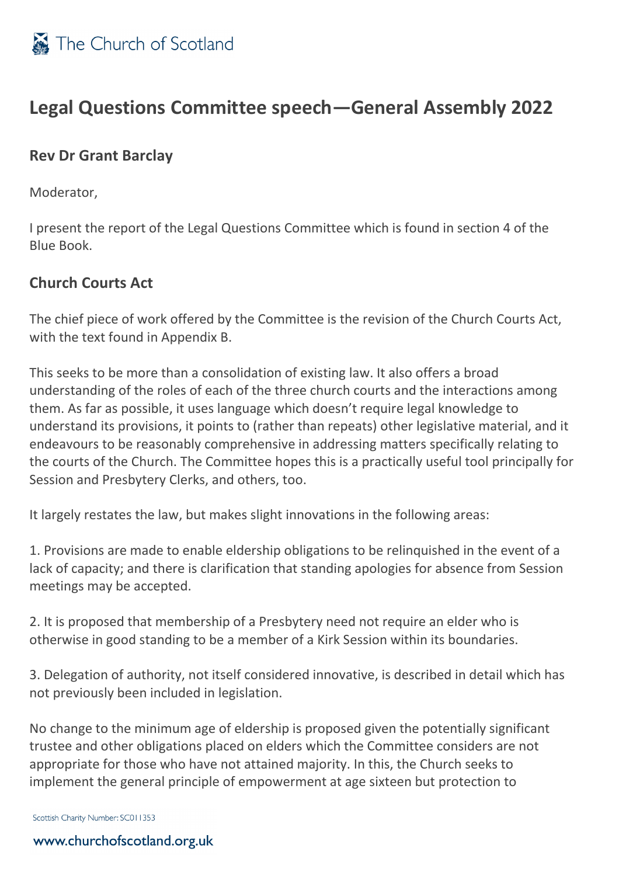

### **Legal Questions Committee speech—General Assembly 2022**

#### **Rev Dr Grant Barclay**

Moderator,

I present the report of the Legal Questions Committee which is found in section 4 of the Blue Book.

### **Church Courts Act**

The chief piece of work offered by the Committee is the revision of the Church Courts Act, with the text found in Appendix B.

This seeks to be more than a consolidation of existing law. It also offers a broad understanding of the roles of each of the three church courts and the interactions among them. As far as possible, it uses language which doesn't require legal knowledge to understand its provisions, it points to (rather than repeats) other legislative material, and it endeavours to be reasonably comprehensive in addressing matters specifically relating to the courts of the Church. The Committee hopes this is a practically useful tool principally for Session and Presbytery Clerks, and others, too.

It largely restates the law, but makes slight innovations in the following areas:

1. Provisions are made to enable eldership obligations to be relinquished in the event of a lack of capacity; and there is clarification that standing apologies for absence from Session meetings may be accepted.

2. It is proposed that membership of a Presbytery need not require an elder who is otherwise in good standing to be a member of a Kirk Session within its boundaries.

3. Delegation of authority, not itself considered innovative, is described in detail which has not previously been included in legislation.

No change to the minimum age of eldership is proposed given the potentially significant trustee and other obligations placed on elders which the Committee considers are not appropriate for those who have not attained majority. In this, the Church seeks to implement the general principle of empowerment at age sixteen but protection to

Scottish Charity Number: SC011353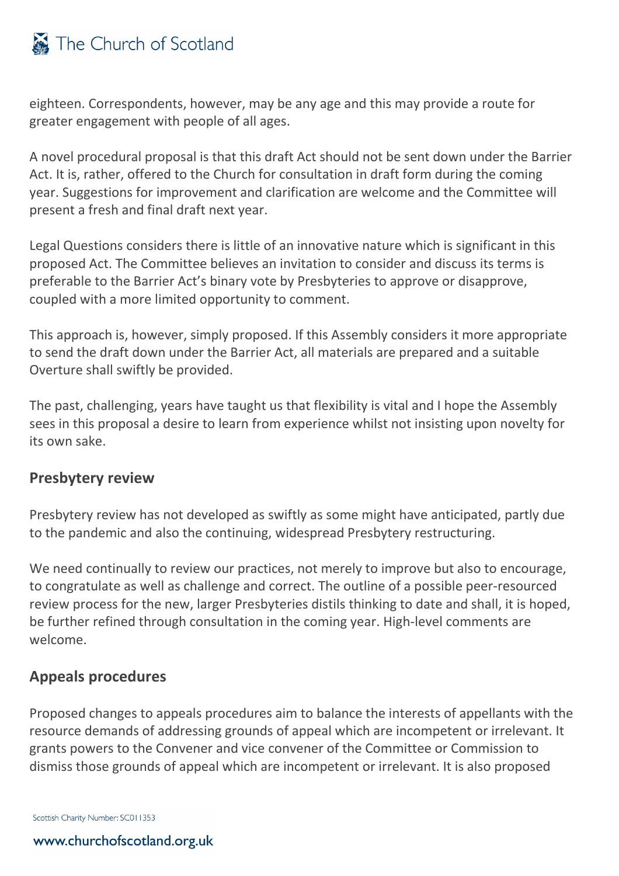## The Church of Scotland

eighteen. Correspondents, however, may be any age and this may provide a route for greater engagement with people of all ages.

A novel procedural proposal is that this draft Act should not be sent down under the Barrier Act. It is, rather, offered to the Church for consultation in draft form during the coming year. Suggestions for improvement and clarification are welcome and the Committee will present a fresh and final draft next year.

Legal Questions considers there is little of an innovative nature which is significant in this proposed Act. The Committee believes an invitation to consider and discuss its terms is preferable to the Barrier Act's binary vote by Presbyteries to approve or disapprove, coupled with a more limited opportunity to comment.

This approach is, however, simply proposed. If this Assembly considers it more appropriate to send the draft down under the Barrier Act, all materials are prepared and a suitable Overture shall swiftly be provided.

The past, challenging, years have taught us that flexibility is vital and I hope the Assembly sees in this proposal a desire to learn from experience whilst not insisting upon novelty for its own sake.

#### **Presbytery review**

Presbytery review has not developed as swiftly as some might have anticipated, partly due to the pandemic and also the continuing, widespread Presbytery restructuring.

We need continually to review our practices, not merely to improve but also to encourage, to congratulate as well as challenge and correct. The outline of a possible peer-resourced review process for the new, larger Presbyteries distils thinking to date and shall, it is hoped, be further refined through consultation in the coming year. High-level comments are welcome.

#### **Appeals procedures**

Proposed changes to appeals procedures aim to balance the interests of appellants with the resource demands of addressing grounds of appeal which are incompetent or irrelevant. It grants powers to the Convener and vice convener of the Committee or Commission to dismiss those grounds of appeal which are incompetent or irrelevant. It is also proposed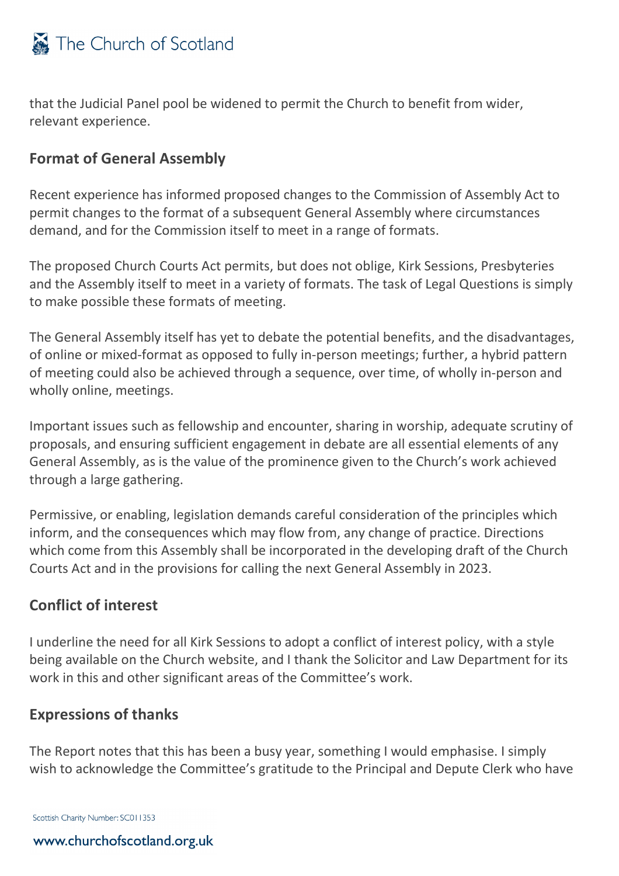

that the Judicial Panel pool be widened to permit the Church to benefit from wider, relevant experience.

#### **Format of General Assembly**

Recent experience has informed proposed changes to the Commission of Assembly Act to permit changes to the format of a subsequent General Assembly where circumstances demand, and for the Commission itself to meet in a range of formats.

The proposed Church Courts Act permits, but does not oblige, Kirk Sessions, Presbyteries and the Assembly itself to meet in a variety of formats. The task of Legal Questions is simply to make possible these formats of meeting.

The General Assembly itself has yet to debate the potential benefits, and the disadvantages, of online or mixed-format as opposed to fully in-person meetings; further, a hybrid pattern of meeting could also be achieved through a sequence, over time, of wholly in-person and wholly online, meetings.

Important issues such as fellowship and encounter, sharing in worship, adequate scrutiny of proposals, and ensuring sufficient engagement in debate are all essential elements of any General Assembly, as is the value of the prominence given to the Church's work achieved through a large gathering.

Permissive, or enabling, legislation demands careful consideration of the principles which inform, and the consequences which may flow from, any change of practice. Directions which come from this Assembly shall be incorporated in the developing draft of the Church Courts Act and in the provisions for calling the next General Assembly in 2023.

#### **Conflict of interest**

I underline the need for all Kirk Sessions to adopt a conflict of interest policy, with a style being available on the Church website, and I thank the Solicitor and Law Department for its work in this and other significant areas of the Committee's work.

#### **Expressions of thanks**

The Report notes that this has been a busy year, something I would emphasise. I simply wish to acknowledge the Committee's gratitude to the Principal and Depute Clerk who have